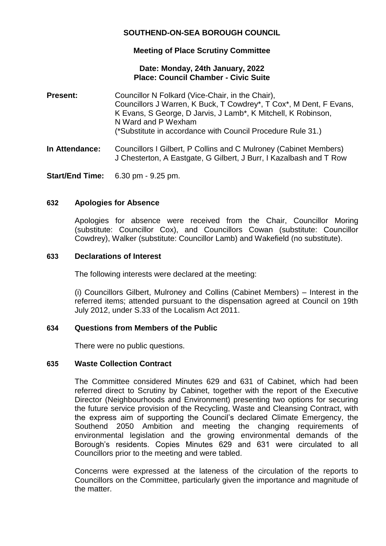# **SOUTHEND-ON-SEA BOROUGH COUNCIL**

## **Meeting of Place Scrutiny Committee**

## **Date: Monday, 24th January, 2022 Place: Council Chamber - Civic Suite**

- **Present:** Councillor N Folkard (Vice-Chair, in the Chair), Councillors J Warren, K Buck, T Cowdrey\*, T Cox\*, M Dent, F Evans, K Evans, S George, D Jarvis, J Lamb\*, K Mitchell, K Robinson, N Ward and P Wexham (\*Substitute in accordance with Council Procedure Rule 31.)
- **In Attendance:** Councillors I Gilbert, P Collins and C Mulroney (Cabinet Members) J Chesterton, A Eastgate, G Gilbert, J Burr, I Kazalbash and T Row

**Start/End Time:** 6.30 pm - 9.25 pm.

## **632 Apologies for Absence**

Apologies for absence were received from the Chair, Councillor Moring (substitute: Councillor Cox), and Councillors Cowan (substitute: Councillor Cowdrey), Walker (substitute: Councillor Lamb) and Wakefield (no substitute).

### **633 Declarations of Interest**

The following interests were declared at the meeting:

(i) Councillors Gilbert, Mulroney and Collins (Cabinet Members) – Interest in the referred items; attended pursuant to the dispensation agreed at Council on 19th July 2012, under S.33 of the Localism Act 2011.

## **634 Questions from Members of the Public**

There were no public questions.

## **635 Waste Collection Contract**

The Committee considered Minutes 629 and 631 of Cabinet, which had been referred direct to Scrutiny by Cabinet, together with the report of the Executive Director (Neighbourhoods and Environment) presenting two options for securing the future service provision of the Recycling, Waste and Cleansing Contract, with the express aim of supporting the Council's declared Climate Emergency, the Southend 2050 Ambition and meeting the changing requirements of environmental legislation and the growing environmental demands of the Borough's residents. Copies Minutes 629 and 631 were circulated to all Councillors prior to the meeting and were tabled.

Concerns were expressed at the lateness of the circulation of the reports to Councillors on the Committee, particularly given the importance and magnitude of the matter.